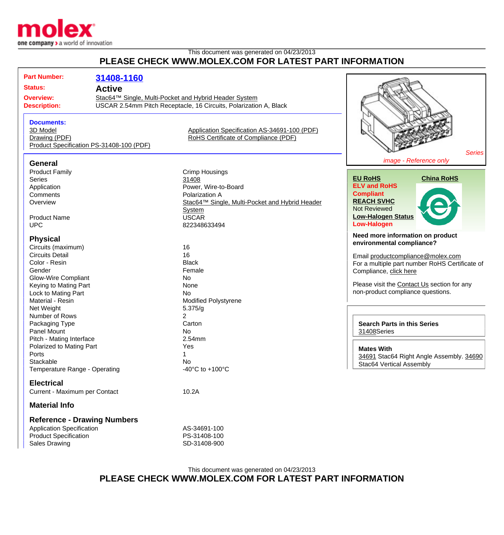

## This document was generated on 04/23/2013 **PLEASE CHECK WWW.MOLEX.COM FOR LATEST PART INFORMATION**

| <b>Part Number:</b><br><b>Status:</b><br><b>Overview:</b><br><b>Description:</b>                                                                                                             | 31408-1160<br><b>Active</b><br>Stac64™ Single, Multi-Pocket and Hybrid Header System<br>USCAR 2.54mm Pitch Receptacle, 16 Circuits, Polarization A, Black |                                                                                                                                                                             |                                                                                                                                                                                                                                                                    |  |
|----------------------------------------------------------------------------------------------------------------------------------------------------------------------------------------------|-----------------------------------------------------------------------------------------------------------------------------------------------------------|-----------------------------------------------------------------------------------------------------------------------------------------------------------------------------|--------------------------------------------------------------------------------------------------------------------------------------------------------------------------------------------------------------------------------------------------------------------|--|
| <b>Documents:</b><br>3D Model<br>Drawing (PDF)<br>Product Specification PS-31408-100 (PDF)                                                                                                   |                                                                                                                                                           | Application Specification AS-34691-100 (PDF)<br>RoHS Certificate of Compliance (PDF)                                                                                        | <b>Series</b>                                                                                                                                                                                                                                                      |  |
| <b>General</b><br><b>Product Family</b><br><b>Series</b><br>Application<br>Comments<br>Overview<br><b>Product Name</b><br><b>UPC</b>                                                         |                                                                                                                                                           | <b>Crimp Housings</b><br>31408<br>Power, Wire-to-Board<br>Polarization A<br>Stac64™ Single, Multi-Pocket and Hybrid Header<br><b>System</b><br><b>USCAR</b><br>822348633494 | image - Reference only<br><b>China RoHS</b><br><b>EU RoHS</b><br><b>ELV and RoHS</b><br><b>Compliant</b><br><b>REACH SVHC</b><br><b>Not Reviewed</b><br><b>Low-Halogen Status</b><br><b>Low-Halogen</b>                                                            |  |
| <b>Physical</b><br>Circuits (maximum)<br><b>Circuits Detail</b><br>Color - Resin<br>Gender<br><b>Glow-Wire Compliant</b><br>Keying to Mating Part<br>Lock to Mating Part<br>Material - Resin |                                                                                                                                                           | 16<br>16<br><b>Black</b><br>Female<br><b>No</b><br>None<br><b>No</b><br>Modified Polystyrene                                                                                | Need more information on product<br>environmental compliance?<br>Email productcompliance@molex.com<br>For a multiple part number RoHS Certificate of<br>Compliance, click here<br>Please visit the Contact Us section for any<br>non-product compliance questions. |  |
| Net Weight<br>Number of Rows<br>Packaging Type<br>Panel Mount<br>Pitch - Mating Interface<br>Polarized to Mating Part<br>Ports<br>Stackable<br>Temperature Range - Operating                 |                                                                                                                                                           | 5.375/g<br>$\overline{2}$<br>Carton<br>No<br>2.54mm<br>Yes<br>1<br>No<br>-40 $^{\circ}$ C to +100 $^{\circ}$ C                                                              | <b>Search Parts in this Series</b><br>31408Series<br><b>Mates With</b><br>34691 Stac64 Right Angle Assembly. 34690<br>Stac64 Vertical Assembly                                                                                                                     |  |
| <b>Electrical</b><br>Current - Maximum per Contact<br><b>Material Info</b>                                                                                                                   |                                                                                                                                                           | 10.2A                                                                                                                                                                       |                                                                                                                                                                                                                                                                    |  |
| <b>Reference - Drawing Numbers</b><br><b>Application Specification</b><br><b>Product Specification</b><br><b>Sales Drawing</b>                                                               |                                                                                                                                                           | AS-34691-100<br>PS-31408-100<br>SD-31408-900                                                                                                                                |                                                                                                                                                                                                                                                                    |  |